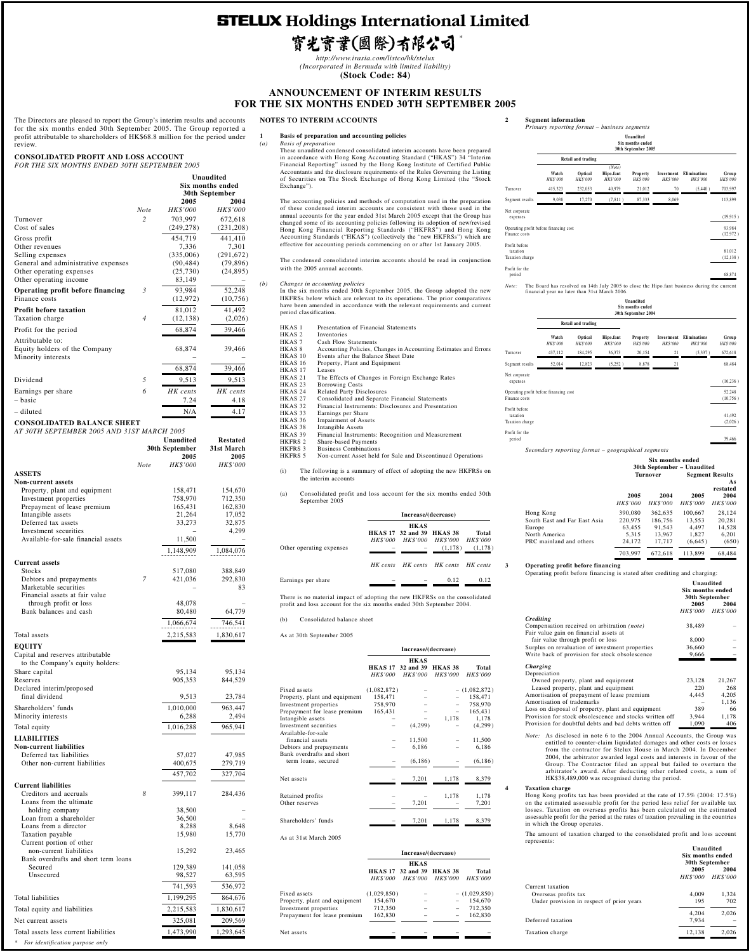# **STELUX Holdings International Limited**

# 寳光寳業(國際)有限公司

*\**

*http://www.irasia.com/listco/hk/stelux (Incorporated in Bermuda with limited liability)* **(Stock Code: 84)**

**ANNOUNCEMENT OF INTERIM RESULTS FOR THE SIX MONTHS ENDED 30TH SEPTEMBER 2005**

The Directors are pleased to report the Group's interim results and accounts for the six months ended 30th September 2005. The Group reported a profit attributable to shareholders of HK\$68.8 million for the period under review.

**CONSOLIDATED PROFIT AND LOSS ACCOUNT** *FOR THE SIX MONTHS ENDED 30TH SEPTEMBER 2005*

|                                            |                |                 | Unaudited        |
|--------------------------------------------|----------------|-----------------|------------------|
|                                            |                |                 | Six months ended |
|                                            |                |                 | 30th September   |
|                                            |                | 2005            | 2004             |
|                                            | Note           | HK\$'000        | HK\$'000         |
| Turnover                                   | $\overline{c}$ | 703,997         | 672,618          |
| Cost of sales                              |                | (249, 278)      | (231, 208)       |
| Gross profit                               |                | 454,719         | 441,410          |
| Other revenues                             |                | 7,336           | 7,301            |
| Selling expenses                           |                | (335,006)       | (291, 672)       |
| General and administrative expenses        |                | (90, 484)       | (79, 896)        |
| Other operating expenses                   |                | (25, 730)       | (24, 895)        |
| Other operating income                     |                | 83,149          |                  |
|                                            |                |                 |                  |
| Operating profit before financing          | 3              | 93,984          | 52,248           |
| Finance costs                              |                | (12, 972)       | (10, 756)        |
| <b>Profit before taxation</b>              |                | 81,012          | 41,492           |
| Taxation charge                            | $\overline{4}$ | (12, 138)       | (2,026)          |
| Profit for the period                      |                | 68,874          | 39,466           |
|                                            |                |                 |                  |
| Attributable to:                           |                |                 |                  |
| Equity holders of the Company              |                | 68,874          | 39,466           |
| Minority interests                         |                |                 |                  |
|                                            |                | 68,874          | 39,466           |
|                                            |                |                 |                  |
| Dividend                                   | 5              | 9,513           | 9,513            |
| Earnings per share                         | 6              | HK cents        | HK cents         |
| - basic                                    |                | 7.24            | 4.18             |
| - diluted                                  |                | N/A             | 4.17             |
|                                            |                |                 |                  |
| <b>CONSOLIDATED BALANCE SHEET</b>          |                |                 |                  |
| AT 30TH SEPTEMBER 2005 AND 31ST MARCH 2005 |                |                 |                  |
|                                            |                | Unaudited       | <b>Restated</b>  |
|                                            |                | 30th September  | 31st March       |
|                                            |                | 2005            | 2005             |
|                                            | <b>Note</b>    | <b>HK\$'000</b> | <b>HK\$'000</b>  |
| <b>ASSETS</b>                              |                |                 |                  |
| <b>Non-current assets</b>                  |                |                 |                  |
| Property, plant and equipment              |                | 158,471         | 154,670          |
| Investment properties                      |                | 758,970         | 712,350          |
| Prepayment of lease premium                |                | 165,431         | 162,830          |
| Intangible assets                          |                | 21,264          | 17,052           |
| Deferred tax assets                        |                | 33,273          | 32,875           |
| Investment securities                      |                |                 | 4,299            |
| Available-for-sale financial assets        |                | 11,500          |                  |
|                                            |                | 1,148,909       | 1,084,076        |
|                                            |                |                 |                  |
| <b>Current assets</b>                      |                |                 |                  |
| Stocks                                     |                | 517,080         | 388,849          |
| Debtors and prepayments                    | 7              | 421,036         | 292,830          |
| Marketable securities                      |                |                 | 83               |
| Financial assets at fair value             |                |                 |                  |
| through profit or loss                     |                | 48,078          |                  |
| Bank balances and cash                     |                | 80,480          | 64,779           |
|                                            |                | 1,066,674       | 746,541          |
|                                            |                |                 |                  |
| Total assets                               |                | 2,215,583       | 1,830,617        |
| <b>EQUITY</b>                              |                |                 |                  |
| Capital and reserves attributable          |                |                 |                  |
| to the Company's equity holders:           |                |                 |                  |
| Share capital                              |                | 95,134          | 95,134           |
| Reserves                                   |                | 905,353         | 844,529          |
| Declared interim/proposed                  |                |                 |                  |
| final dividend                             |                | 9,513           | 23,784           |
| Shareholders' funds                        |                | 1,010,000       | 963,447          |
| Minority interests                         |                | 6,288           | 2,494            |
|                                            |                |                 |                  |
| Total equity                               |                | 1,016,288       | 965,941          |
| <b>LIABILITIES</b>                         |                |                 |                  |
| <b>Non-current liabilities</b>             |                |                 |                  |
| Deferred tax liabilities                   |                | 57,027          | 47,985           |
| Other non-current liabilities              |                | 400,675         | 279,719          |
|                                            |                |                 |                  |
|                                            |                | 457,702         | 327,704          |
| <b>Current liabilities</b>                 |                |                 |                  |
| Creditors and accruals                     | 8              | 399,117         | 284,436          |

Loans from the ultimate holding company 38,500<br>
oan from a shareholder 36,500 Loan from a shareholder<br>
Loans from a director<br>  $\frac{36,500}{8,288}$ <br>  $\frac{648}{8,648}$ Loans from a director and the set of the set of the set of the set of the set of the set of the set of the set of the set of the set of the set of the set of the set of the set of the set of the set of the set of the set o Taxation payable Current portion of other non-current liabilities 15,292 23,465 Bank overdrafts and short term loans Secured 129,389 141,058<br>Unsecured 98,527 63,595 Unsecured 741,593 536,972 Total liabilities 1,199,295 864,676 Total equity and liabilities  $\overline{2,215,583}$   $\overline{1,830,617}$ Net current assets 325,081 209,569 Total assets less current liabilities  $\overline{1,473,990}$   $\overline{1,293,645}$ 

*\* For identification purpose only*

## **NOTES TO INTERIM ACCOUNTS**

## **1 Basis of preparation and accounting policies**<br>(a) *Basis of preparation*

(a) Basis of preparation<br>These unaudited condensed consolidated interim accounts have been prepared<br>in accordance with Hong Kong Accounting Standard ("HKAS") 34 "Interim<br>Financial Reporting" issued by the Hong Kong Institu Exchange").

The accounting policies and methods of computation used in the preparation<br>of these condensed interim accounts are consistent with those used in the<br>annual accounts for the year ended 31st March 2005 except that the Group

The condensed consolidated interim accounts should be read in conjunction with the 2005 annual accounts.

*(b) Changes in accounting policies* In the six months ended 30th September 2005, the Group adopted the new HKFRSs below which are relevant to its operations. The prior comparatives have been amended in accordance with the relevant requirements and current period classification.

HKAS 1 Presentation of Financial Statements<br>HKAS 2 Inventories HKAS 2 Inventories<br>HKAS 7 Cash Flow HKAS 7 Cash Flow Statements<br>HKAS 8 Accounting Policies, C<br>HKAS 10 Events after the Balan<br>HKAS 16 Property, Plant and Ec HKAS 8 Accounting Policies, Changes in Accounting Estimates and Errors HKAS 10 Events after the Balance Sheet Date HKAS 16 Property, Plant and Equipment HKAS 17 Leases<br>
HKAS 21 The Ef<br>
HKAS 23 Borrov HKAS 21 The Effects of Changes in Foreign Exchange Rates HKAS 23 Borrowing Costs HKAS 24 Related Party Disclosures<br>HKAS 27 Consolidated and Separate HKAS 27 Consolidated and Separate Financial Statements HKAS 32 Financial Instruments: Disclosures and Presentation HKAS 33 Earnings per Share HKAS 36 Impairment of Assets<br>HKAS 38 Intangible Assets HKAS 38 Intangible Assets<br>HKAS 39 Financial Instrument<br>HKFRS 2 Share-based Paym Financial Instruments: Recognition and Measurement HKFRS 2 Share-based Payments HKFRS 3 Business Combinations HKFRS 5 Non-current Asset held for Sale and Discontinued Operations (i) The following is a summary of effect of adopting the new HKFRSs on the interim accounts (a) Consolidated profit and loss account for the six months ended 30th September 2005

|                          | Increase/(decrease) |                                  |                                     |         |  |
|--------------------------|---------------------|----------------------------------|-------------------------------------|---------|--|
|                          |                     | <b>HKAS</b>                      |                                     |         |  |
|                          |                     | <b>HKAS 17 32 and 39 HKAS 38</b> |                                     | Total   |  |
|                          |                     |                                  | HK\$'000 HK\$'000 HK\$'000 HK\$'000 |         |  |
| Other operating expenses |                     |                                  | (1.178)                             | (1,178) |  |
|                          |                     |                                  | HK cents HK cents HK cents HK cents |         |  |
| Earnings per share       |                     |                                  | 0.12                                | 0.12    |  |

There is no material impact of adopting the new HKFRSs on the consolidated profit and loss account for the six months ended 30th September 2004.

(b) Consolidated balance sheet

As at 30th September 2005

 $\overline{A}$ 

Net assets

| Increase/(decrease)          |                 |                    |                 |  |
|------------------------------|-----------------|--------------------|-----------------|--|
|                              | <b>HKAS</b>     |                    |                 |  |
| <b>HKAS 17</b>               | 32 and 39       | HKAS <sub>38</sub> | <b>Total</b>    |  |
| <b>HK\$'000</b>              | <b>HK\$'000</b> |                    | <b>HK\$'000</b> |  |
|                              |                 |                    | $-$ (1,082,872) |  |
| 158,471                      |                 |                    | 158,471         |  |
| 758,970                      |                 |                    | 758,970         |  |
| 165,431                      |                 |                    | 165,431         |  |
|                              |                 | 1,178              | 1,178           |  |
|                              | (4,299)         |                    | (4,299)         |  |
|                              | 11,500          |                    | 11,500          |  |
|                              | 6,186           |                    | 6,186           |  |
|                              |                 |                    |                 |  |
|                              | (6, 186)        |                    | (6, 186)        |  |
|                              | 7,201           | 1,178              | 8,379           |  |
|                              |                 |                    |                 |  |
|                              |                 | 1,178              | 1,178           |  |
|                              | 7,201           |                    | 7,201           |  |
|                              | 7,201           | 1,178              | 8,379           |  |
| Prepayment for lease premium |                 | (1,082,872)        | HK\$'000        |  |

|                               | Increase/(decrease) |                                                     |                 |                          |  |
|-------------------------------|---------------------|-----------------------------------------------------|-----------------|--------------------------|--|
|                               |                     |                                                     |                 |                          |  |
|                               | <i>HK\$'000</i>     | <b>HKAS 17 32 and 39 HKAS 38</b><br><b>HK\$'000</b> | <b>HK\$'000</b> | Total<br><b>HK\$'000</b> |  |
| Fixed assets                  | (1,029,850)         |                                                     |                 | $-$ (1,029,850)          |  |
| Property, plant and equipment | 154,670             |                                                     |                 | 154,670                  |  |
| Investment properties         | 712,350             |                                                     |                 | 712,350                  |  |
| Prepayment for lease premium  | 162,830             |                                                     |                 | 162.830                  |  |

#### **2 Segment information** *Primary reporting format – business segments*

|                                                         |                   |                     |                                 | Unaudited<br>Six months ended<br>30th September 2005 |                        |                          |                     |
|---------------------------------------------------------|-------------------|---------------------|---------------------------------|------------------------------------------------------|------------------------|--------------------------|---------------------|
|                                                         |                   | Retail and trading  |                                 |                                                      |                        |                          |                     |
|                                                         | Watch<br>HK\$'000 | Optical<br>HK\$'000 | (Note)<br>Hipo.fant<br>HK\$'000 | Property<br>HK\$'000                                 | Investment<br>HK\$'000 | Eliminations<br>HK\$'000 | Group<br>HK\$'000   |
| Turnover                                                | 415,323           | 232,053             | 40,979                          | 21,012                                               | 70                     | (5,440)                  | 703,997             |
| Segment results                                         | 9,038             | 17,270              | (7, 811)                        | 87,333                                               | 8,069                  |                          | 113,899             |
| Net corporate<br>expenses                               |                   |                     |                                 |                                                      |                        |                          | (19, 915)           |
| Operating profit before financing cost<br>Finance costs |                   |                     |                                 |                                                      |                        |                          | 93,984<br>(12,972)  |
| Profit before<br>taxation<br>Taxation charge            |                   |                     |                                 |                                                      |                        |                          | 81,012<br>(12, 138) |
| Profit for the<br>period                                |                   |                     |                                 |                                                      |                        |                          | 68,874              |

period 68,874 *Note:* The Board has resolved on 14th July 2005 to close the Hipo.fant business during the current financial year no later than 31st March 2006.

|                                                         | Unaudited<br>Six months ended<br>30th September 2004 |                           |                             |                             |                              |                                 |                     |
|---------------------------------------------------------|------------------------------------------------------|---------------------------|-----------------------------|-----------------------------|------------------------------|---------------------------------|---------------------|
|                                                         |                                                      | Retail and trading        |                             |                             |                              |                                 |                     |
|                                                         | Watch<br><b>HK\$'000</b>                             | Optical<br><b>HKS'000</b> | Hipo.fant<br><b>HKS'000</b> | Property<br><b>HK\$'000</b> | Investment<br><b>HKS'000</b> | Eliminations<br><b>HK\$'000</b> | Group<br>HK\$'000   |
| Turnover                                                | 437,112                                              | 184,295                   | 36,373                      | 20,154                      | 21                           | (5, 337)                        | 672,618             |
| Segment results                                         | 52,014                                               | 12,823                    | (5.252)                     | 8,878                       | 21                           |                                 | 68,484              |
| Net corporate<br>expenses                               |                                                      |                           |                             |                             |                              |                                 | (16, 236)           |
| Operating profit before financing cost<br>Finance costs |                                                      |                           |                             |                             |                              |                                 | 52,248<br>(10, 756) |
| Profit before<br>taxation<br>Taxation charge            |                                                      |                           |                             |                             |                              |                                 | 41,492<br>(2,026)   |
| Profit for the<br>period                                |                                                      |                           |                             |                             |                              |                                 | 39,466              |

*Secondary reporting format – geographical segments*

|                              | Six months ended<br>30th September - Unaudited |                 |                 |                                          |  |
|------------------------------|------------------------------------------------|-----------------|-----------------|------------------------------------------|--|
|                              |                                                | <b>Turnover</b> |                 | <b>Segment Results</b><br>As<br>restated |  |
|                              | 2005                                           | 2004            | 2005            | 2004                                     |  |
|                              | <b>HK\$'000</b>                                | <b>HK\$'000</b> | <b>HK\$'000</b> | <b>HK\$'000</b>                          |  |
| Hong Kong                    | 390,080                                        | 362.635         | 100.667         | 28.124                                   |  |
| South East and Far East Asia | 220,975                                        | 186,756         | 13.553          | 20.281                                   |  |
| Europe                       | 63.455                                         | 91.543          | 4.497           | 14.528                                   |  |
| North America                | 5.315                                          | 13.967          | 1.827           | 6.201                                    |  |
| PRC mainland and others      | 24.172                                         | 17.717          | (6,645)         | (650)                                    |  |
|                              | 703.997                                        | 672.618         | 113.899         | 68,484                                   |  |

**3 Operating profit before financing**

*Crediting*

 $\tilde{D}$ 

 $N_{\ell}$ 

 $P<sub>r</sub>$ 

| operating profit before financing is stated after creating and enarging. |                                                 |                 |
|--------------------------------------------------------------------------|-------------------------------------------------|-----------------|
|                                                                          | Unaudited<br>Six months ended<br>30th September |                 |
|                                                                          | 2005                                            | 2004            |
|                                                                          | <b>HK\$'000</b>                                 | <b>HK\$'000</b> |
| <b>Crediting</b>                                                         |                                                 |                 |
| Compensation received on arbitration (note)                              | 38,489                                          |                 |
| Fair value gain on financial assets at                                   |                                                 |                 |
| fair value through profit or loss                                        | 8,000                                           |                 |
| Surplus on revaluation of investment properties                          | 36,660                                          |                 |
| Write back of provision for stock obsolescence                           | 9,666                                           |                 |
| Charging                                                                 |                                                 |                 |
| Depreciation                                                             |                                                 |                 |
| Owned property, plant and equipment                                      | 23,128                                          | 21,267          |
| Leased property, plant and equipment                                     | 220                                             | 268             |
| Amortisation of prepayment of lease premium                              | 4,445                                           | 4,205           |
| Amortisation of trademarks                                               |                                                 | 1.136           |
| Loss on disposal of property, plant and equipment                        | 389                                             | 66              |
| Provision for stock obsolescence and stocks written off                  | 3,944                                           | 1,178           |
| Provision for doubtful debts and bad debts written off                   | 1,090                                           | 406             |

Operating profit before financing is stated after crediting and charging:

*Note:* As disclosed in note 6 to the 2004 Annual Accounts, the Group was entitled to counter-claim liquidated damages and other costs or losses from the contractor for Stelux House in March 2004. In December 2004, the arbitrator awarded legal costs and interests in favour of the Group. The Contractor filed an appeal but failed to overturn the arbitrator's award. After deducting other related costs, a sum of HK\$38,489,000 was recognised during the period.

**4 Taxation charge**<br>Hong Kong profits tax has been provided at the rate of  $17.5\%$  (2004:  $17.5\%$ )<br>on the estimated assessable profit for the period less relief for available tax<br>losses. Taxation on overseas profits h

The amount of taxation charged to the consolidated profit and loss account represents:

|                                                                                       | Unaudited<br>Six months ended<br>30th September    |              |  |
|---------------------------------------------------------------------------------------|----------------------------------------------------|--------------|--|
|                                                                                       | 2005<br>2004<br><b>HK\$'000</b><br><b>HK\$'000</b> |              |  |
| Current taxation<br>Overseas profits tax<br>Under provision in respect of prior years | 4.009<br>195                                       | 1,324<br>702 |  |
| Deferred taxation                                                                     | 4.204<br>7.934                                     | 2.026        |  |
| Taxation charge                                                                       | 12,138                                             | 2.026        |  |